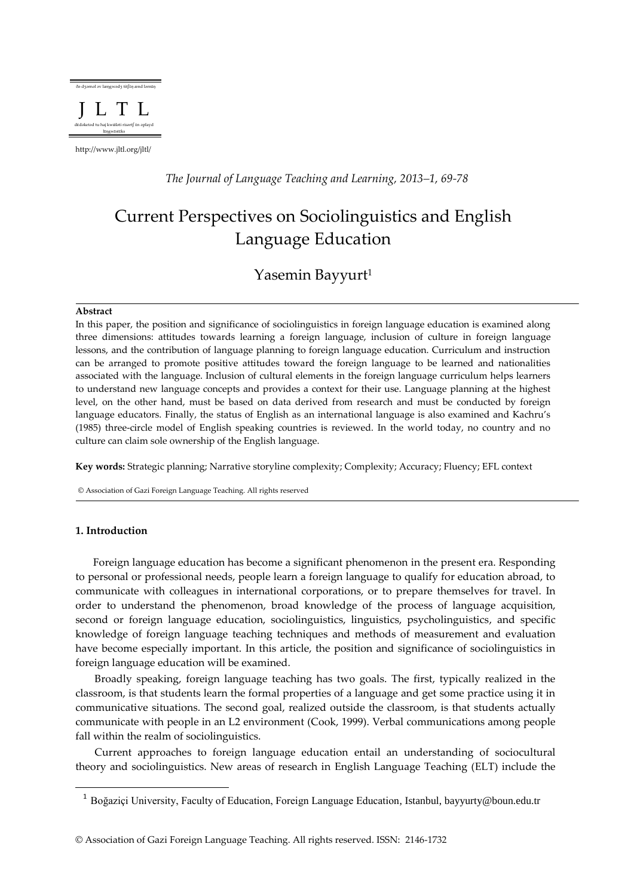

http://www.jltl.org/jltl/

*The Journal of Language Teaching and Learning, 2013–1, 69-78*

# Current Perspectives on Sociolinguistics and English Language Education

# Yasemin Bayyurt<sup>1</sup>

#### **Abstract**

In this paper, the position and significance of sociolinguistics in foreign language education is examined along three dimensions: attitudes towards learning a foreign language, inclusion of culture in foreign language lessons, and the contribution of language planning to foreign language education. Curriculum and instruction can be arranged to promote positive attitudes toward the foreign language to be learned and nationalities associated with the language. Inclusion of cultural elements in the foreign language curriculum helps learners to understand new language concepts and provides a context for their use. Language planning at the highest level, on the other hand, must be based on data derived from research and must be conducted by foreign language educators. Finally, the status of English as an international language is also examined and Kachru's (1985) three-circle model of English speaking countries is reviewed. In the world today, no country and no culture can claim sole ownership of the English language.

**Key words:** Strategic planning; Narrative storyline complexity; Complexity; Accuracy; Fluency; EFL context

© Association of Gazi Foreign Language Teaching. All rights reserved

# **1. Introduction**

 $\overline{\phantom{a}}$ 

Foreign language education has become a significant phenomenon in the present era. Responding to personal or professional needs, people learn a foreign language to qualify for education abroad, to communicate with colleagues in international corporations, or to prepare themselves for travel. In order to understand the phenomenon, broad knowledge of the process of language acquisition, second or foreign language education, sociolinguistics, linguistics, psycholinguistics, and specific knowledge of foreign language teaching techniques and methods of measurement and evaluation have become especially important. In this article, the position and significance of sociolinguistics in foreign language education will be examined.

Broadly speaking, foreign language teaching has two goals. The first, typically realized in the classroom, is that students learn the formal properties of a language and get some practice using it in communicative situations. The second goal, realized outside the classroom, is that students actually communicate with people in an L2 environment (Cook, 1999). Verbal communications among people fall within the realm of sociolinguistics.

Current approaches to foreign language education entail an understanding of sociocultural theory and sociolinguistics. New areas of research in English Language Teaching (ELT) include the

<sup>&</sup>lt;sup>1</sup> Boğaziçi University, Faculty of Education, Foreign Language Education, Istanbul, bayyurty@boun.edu.tr

<sup>©</sup> Association of Gazi Foreign Language Teaching. All rights reserved. ISSN: 2146-1732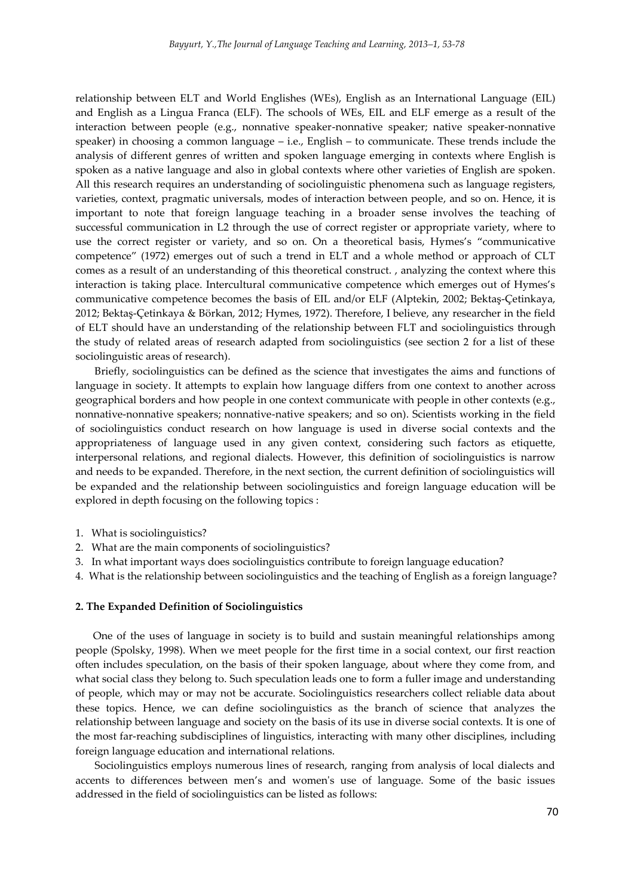relationship between ELT and World Englishes (WEs), English as an International Language (EIL) and English as a Lingua Franca (ELF). The schools of WEs, EIL and ELF emerge as a result of the interaction between people (e.g., nonnative speaker-nonnative speaker; native speaker-nonnative speaker) in choosing a common language – i.e., English – to communicate. These trends include the analysis of different genres of written and spoken language emerging in contexts where English is spoken as a native language and also in global contexts where other varieties of English are spoken. All this research requires an understanding of sociolinguistic phenomena such as language registers, varieties, context, pragmatic universals, modes of interaction between people, and so on. Hence, it is important to note that foreign language teaching in a broader sense involves the teaching of successful communication in L2 through the use of correct register or appropriate variety, where to use the correct register or variety, and so on. On a theoretical basis, Hymes's "communicative competence" (1972) emerges out of such a trend in ELT and a whole method or approach of CLT comes as a result of an understanding of this theoretical construct. , analyzing the context where this interaction is taking place. Intercultural communicative competence which emerges out of Hymes's communicative competence becomes the basis of EIL and/or ELF (Alptekin, 2002; Bektaş-Çetinkaya, 2012; Bektaş-Çetinkaya & Börkan, 2012; Hymes, 1972). Therefore, I believe, any researcher in the field of ELT should have an understanding of the relationship between FLT and sociolinguistics through the study of related areas of research adapted from sociolinguistics (see section 2 for a list of these sociolinguistic areas of research).

Briefly, sociolinguistics can be defined as the science that investigates the aims and functions of language in society. It attempts to explain how language differs from one context to another across geographical borders and how people in one context communicate with people in other contexts (e.g., nonnative-nonnative speakers; nonnative-native speakers; and so on). Scientists working in the field of sociolinguistics conduct research on how language is used in diverse social contexts and the appropriateness of language used in any given context, considering such factors as etiquette, interpersonal relations, and regional dialects. However, this definition of sociolinguistics is narrow and needs to be expanded. Therefore, in the next section, the current definition of sociolinguistics will be expanded and the relationship between sociolinguistics and foreign language education will be explored in depth focusing on the following topics :

- 1. What is sociolinguistics?
- 2. What are the main components of sociolinguistics?
- 3. In what important ways does sociolinguistics contribute to foreign language education?
- 4. What is the relationship between sociolinguistics and the teaching of English as a foreign language?

#### **2. The Expanded Definition of Sociolinguistics**

One of the uses of language in society is to build and sustain meaningful relationships among people (Spolsky, 1998). When we meet people for the first time in a social context, our first reaction often includes speculation, on the basis of their spoken language, about where they come from, and what social class they belong to. Such speculation leads one to form a fuller image and understanding of people, which may or may not be accurate. Sociolinguistics researchers collect reliable data about these topics. Hence, we can define sociolinguistics as the branch of science that analyzes the relationship between language and society on the basis of its use in diverse social contexts. It is one of the most far-reaching subdisciplines of linguistics, interacting with many other disciplines, including foreign language education and international relations.

Sociolinguistics employs numerous lines of research, ranging from analysis of local dialects and accents to differences between men's and women's use of language. Some of the basic issues addressed in the field of sociolinguistics can be listed as follows: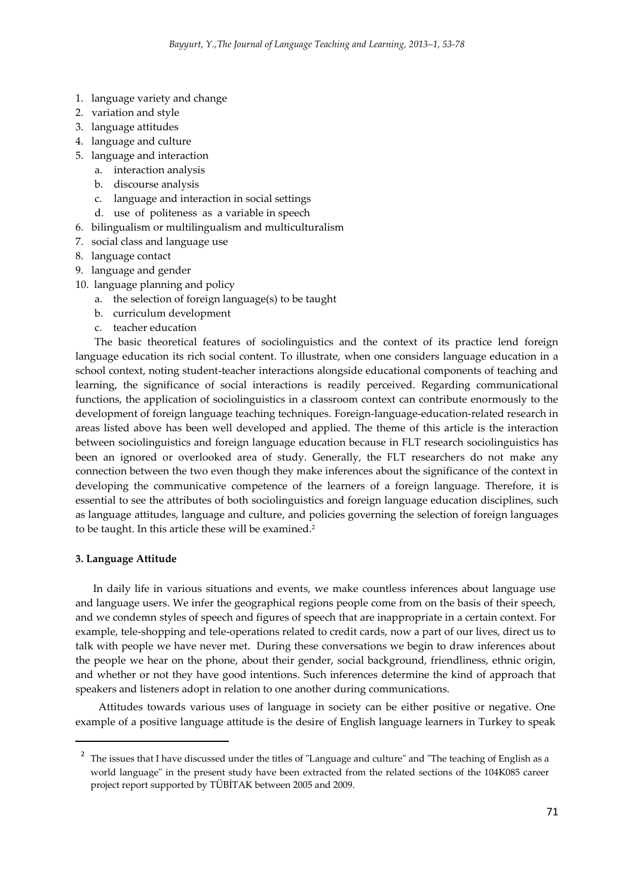- 1. language variety and change
- 2. variation and style
- 3. language attitudes
- 4. language and culture
- 5. language and interaction
	- a. interaction analysis
	- b. discourse analysis
	- c. language and interaction in social settings
	- d. use of politeness as a variable in speech
- 6. bilingualism or multilingualism and multiculturalism
- 7. social class and language use
- 8. language contact
- 9. language and gender
- 10. language planning and policy
	- a. the selection of foreign language(s) to be taught
	- b. curriculum development
	- c. teacher education

The basic theoretical features of sociolinguistics and the context of its practice lend foreign language education its rich social content. To illustrate, when one considers language education in a school context, noting student-teacher interactions alongside educational components of teaching and learning, the significance of social interactions is readily perceived. Regarding communicational functions, the application of sociolinguistics in a classroom context can contribute enormously to the development of foreign language teaching techniques. Foreign-language-education-related research in areas listed above has been well developed and applied. The theme of this article is the interaction between sociolinguistics and foreign language education because in FLT research sociolinguistics has been an ignored or overlooked area of study. Generally, the FLT researchers do not make any connection between the two even though they make inferences about the significance of the context in developing the communicative competence of the learners of a foreign language. Therefore, it is essential to see the attributes of both sociolinguistics and foreign language education disciplines, such as language attitudes, language and culture, and policies governing the selection of foreign languages to be taught. In this article these will be examined. 2

#### **3. Language Attitude**

 $\overline{a}$ 

In daily life in various situations and events, we make countless inferences about language use and language users. We infer the geographical regions people come from on the basis of their speech, and we condemn styles of speech and figures of speech that are inappropriate in a certain context. For example, tele-shopping and tele-operations related to credit cards, now a part of our lives, direct us to talk with people we have never met. During these conversations we begin to draw inferences about the people we hear on the phone, about their gender, social background, friendliness, ethnic origin, and whether or not they have good intentions. Such inferences determine the kind of approach that speakers and listeners adopt in relation to one another during communications.

 Attitudes towards various uses of language in society can be either positive or negative. One example of a positive language attitude is the desire of English language learners in Turkey to speak

 $2$  The issues that I have discussed under the titles of "Language and culture" and "The teaching of English as a world language" in the present study have been extracted from the related sections of the 104K085 career project report supported by TÜBİTAK between 2005 and 2009.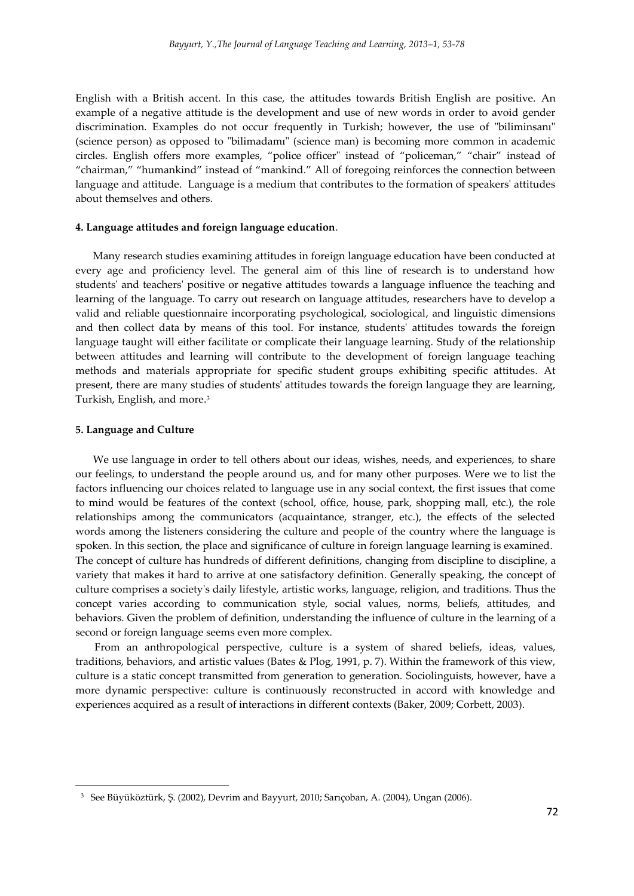English with a British accent. In this case, the attitudes towards British English are positive. An example of a negative attitude is the development and use of new words in order to avoid gender discrimination. Examples do not occur frequently in Turkish; however, the use of "biliminsanı" (science person) as opposed to "bilimadamı" (science man) is becoming more common in academic circles. English offers more examples, "police officer" instead of "policeman," "chair" instead of "chairman," "humankind" instead of "mankind." All of foregoing reinforces the connection between language and attitude. Language is a medium that contributes to the formation of speakers' attitudes about themselves and others.

## **4. Language attitudes and foreign language education**.

Many research studies examining attitudes in foreign language education have been conducted at every age and proficiency level. The general aim of this line of research is to understand how students' and teachers' positive or negative attitudes towards a language influence the teaching and learning of the language. To carry out research on language attitudes, researchers have to develop a valid and reliable questionnaire incorporating psychological, sociological, and linguistic dimensions and then collect data by means of this tool. For instance, students' attitudes towards the foreign language taught will either facilitate or complicate their language learning. Study of the relationship between attitudes and learning will contribute to the development of foreign language teaching methods and materials appropriate for specific student groups exhibiting specific attitudes. At present, there are many studies of students' attitudes towards the foreign language they are learning, Turkish, English, and more. 3

#### **5. Language and Culture**

 $\overline{\phantom{a}}$ 

We use language in order to tell others about our ideas, wishes, needs, and experiences, to share our feelings, to understand the people around us, and for many other purposes. Were we to list the factors influencing our choices related to language use in any social context, the first issues that come to mind would be features of the context (school, office, house, park, shopping mall, etc.), the role relationships among the communicators (acquaintance, stranger, etc.), the effects of the selected words among the listeners considering the culture and people of the country where the language is spoken. In this section, the place and significance of culture in foreign language learning is examined. The concept of culture has hundreds of different definitions, changing from discipline to discipline, a variety that makes it hard to arrive at one satisfactory definition. Generally speaking, the concept of culture comprises a society's daily lifestyle, artistic works, language, religion, and traditions. Thus the concept varies according to communication style, social values, norms, beliefs, attitudes, and behaviors. Given the problem of definition, understanding the influence of culture in the learning of a second or foreign language seems even more complex.

From an anthropological perspective, culture is a system of shared beliefs, ideas, values, traditions, behaviors, and artistic values (Bates & Plog, 1991, p. 7). Within the framework of this view, culture is a static concept transmitted from generation to generation. Sociolinguists, however, have a more dynamic perspective: culture is continuously reconstructed in accord with knowledge and experiences acquired as a result of interactions in different contexts (Baker, 2009; Corbett, 2003).

<sup>3</sup> See Büyüköztürk, Ş. (2002), Devrim and Bayyurt, 2010; Sarıçoban, A. (2004), Ungan (2006).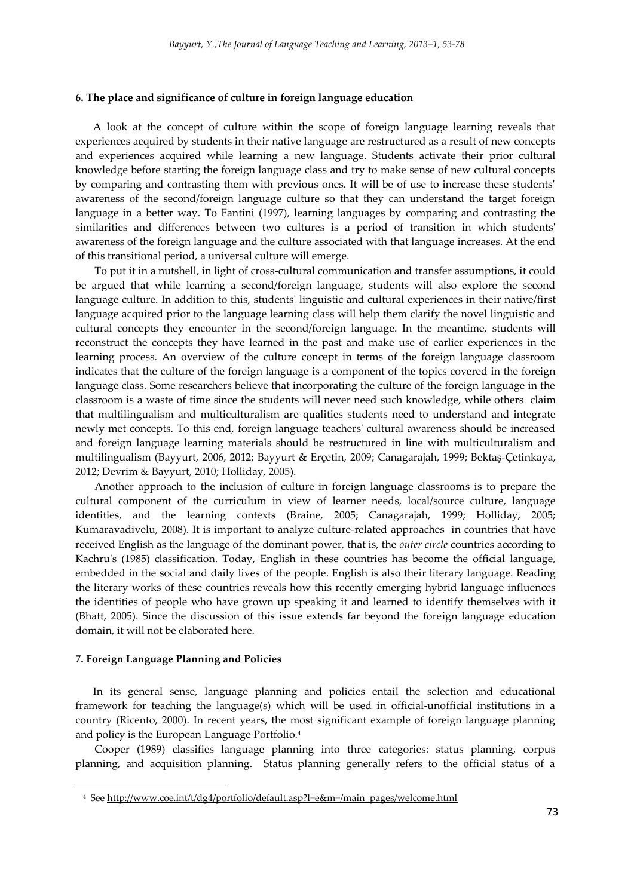#### **6. The place and significance of culture in foreign language education**

A look at the concept of culture within the scope of foreign language learning reveals that experiences acquired by students in their native language are restructured as a result of new concepts and experiences acquired while learning a new language. Students activate their prior cultural knowledge before starting the foreign language class and try to make sense of new cultural concepts by comparing and contrasting them with previous ones. It will be of use to increase these students' awareness of the second/foreign language culture so that they can understand the target foreign language in a better way. To Fantini (1997), learning languages by comparing and contrasting the similarities and differences between two cultures is a period of transition in which students' awareness of the foreign language and the culture associated with that language increases. At the end of this transitional period, a universal culture will emerge.

To put it in a nutshell, in light of cross-cultural communication and transfer assumptions, it could be argued that while learning a second/foreign language, students will also explore the second language culture. In addition to this, students' linguistic and cultural experiences in their native/first language acquired prior to the language learning class will help them clarify the novel linguistic and cultural concepts they encounter in the second/foreign language. In the meantime, students will reconstruct the concepts they have learned in the past and make use of earlier experiences in the learning process. An overview of the culture concept in terms of the foreign language classroom indicates that the culture of the foreign language is a component of the topics covered in the foreign language class. Some researchers believe that incorporating the culture of the foreign language in the classroom is a waste of time since the students will never need such knowledge, while others claim that multilingualism and multiculturalism are qualities students need to understand and integrate newly met concepts. To this end, foreign language teachers' cultural awareness should be increased and foreign language learning materials should be restructured in line with multiculturalism and multilingualism (Bayyurt, 2006, 2012; Bayyurt & Erçetin, 2009; Canagarajah, 1999; Bektaş-Çetinkaya, 2012; Devrim & Bayyurt, 2010; Holliday, 2005).

Another approach to the inclusion of culture in foreign language classrooms is to prepare the cultural component of the curriculum in view of learner needs, local/source culture, language identities, and the learning contexts (Braine, 2005; Canagarajah, 1999; Holliday, 2005; Kumaravadivelu, 2008). It is important to analyze culture-related approaches in countries that have received English as the language of the dominant power, that is, the *outer circle* countries according to Kachru's (1985) classification. Today, English in these countries has become the official language, embedded in the social and daily lives of the people. English is also their literary language. Reading the literary works of these countries reveals how this recently emerging hybrid language influences the identities of people who have grown up speaking it and learned to identify themselves with it (Bhatt, 2005). Since the discussion of this issue extends far beyond the foreign language education domain, it will not be elaborated here.

#### **7. Foreign Language Planning and Policies**

 $\overline{\phantom{a}}$ 

In its general sense, language planning and policies entail the selection and educational framework for teaching the language(s) which will be used in official-unofficial institutions in a country (Ricento, 2000). In recent years, the most significant example of foreign language planning and policy is the European Language Portfolio.<sup>4</sup>

Cooper (1989) classifies language planning into three categories: status planning, corpus planning, and acquisition planning. Status planning generally refers to the official status of a

<sup>4</sup> Se[e http://www.coe.int/t/dg4/portfolio/default.asp?l=e&m=/main\\_pages/welcome.html](http://www.coe.int/t/dg4/portfolio/default.asp?l=e&m=/main_pages/welcome.html)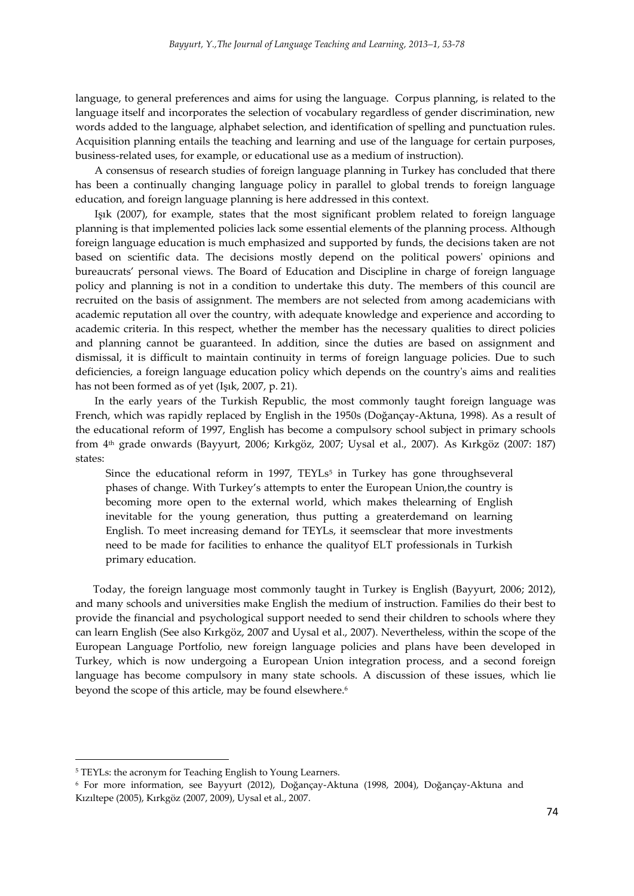language, to general preferences and aims for using the language. Corpus planning, is related to the language itself and incorporates the selection of vocabulary regardless of gender discrimination, new words added to the language, alphabet selection, and identification of spelling and punctuation rules. Acquisition planning entails the teaching and learning and use of the language for certain purposes, business-related uses, for example, or educational use as a medium of instruction).

A consensus of research studies of foreign language planning in Turkey has concluded that there has been a continually changing language policy in parallel to global trends to foreign language education, and foreign language planning is here addressed in this context.

Işık (2007), for example, states that the most significant problem related to foreign language planning is that implemented policies lack some essential elements of the planning process. Although foreign language education is much emphasized and supported by funds, the decisions taken are not based on scientific data. The decisions mostly depend on the political powers' opinions and bureaucrats' personal views. The Board of Education and Discipline in charge of foreign language policy and planning is not in a condition to undertake this duty. The members of this council are recruited on the basis of assignment. The members are not selected from among academicians with academic reputation all over the country, with adequate knowledge and experience and according to academic criteria. In this respect, whether the member has the necessary qualities to direct policies and planning cannot be guaranteed. In addition, since the duties are based on assignment and dismissal, it is difficult to maintain continuity in terms of foreign language policies. Due to such deficiencies, a foreign language education policy which depends on the country's aims and realities has not been formed as of yet (Işık, 2007, p. 21).

In the early years of the Turkish Republic, the most commonly taught foreign language was French, which was rapidly replaced by English in the 1950s (Doğançay-Aktuna, 1998). As a result of the educational reform of 1997, English has become a compulsory school subject in primary schools from 4th grade onwards (Bayyurt, 2006; Kırkgöz, 2007; Uysal et al., 2007). As Kırkgöz (2007: 187) states:

Since the educational reform in 1997,  $TEYLs<sup>5</sup>$  in Turkey has gone throughseveral phases of change. With Turkey's attempts to enter the European Union,the country is becoming more open to the external world, which makes thelearning of English inevitable for the young generation, thus putting a greaterdemand on learning English. To meet increasing demand for TEYLs, it seemsclear that more investments need to be made for facilities to enhance the qualityof ELT professionals in Turkish primary education.

Today, the foreign language most commonly taught in Turkey is English (Bayyurt, 2006; 2012), and many schools and universities make English the medium of instruction. Families do their best to provide the financial and psychological support needed to send their children to schools where they can learn English (See also Kırkgöz, 2007 and Uysal et al., 2007). Nevertheless, within the scope of the European Language Portfolio, new foreign language policies and plans have been developed in Turkey, which is now undergoing a European Union integration process, and a second foreign language has become compulsory in many state schools. A discussion of these issues, which lie beyond the scope of this article, may be found elsewhere.<sup>6</sup>

 $\overline{\phantom{a}}$ 

<sup>&</sup>lt;sup>5</sup> TEYLs: the acronym for Teaching English to Young Learners.

<sup>6</sup> For more information, see Bayyurt (2012), Doğançay-Aktuna (1998, 2004), Doğançay-Aktuna and Kızıltepe (2005), Kırkgöz (2007, 2009), Uysal et al., 2007.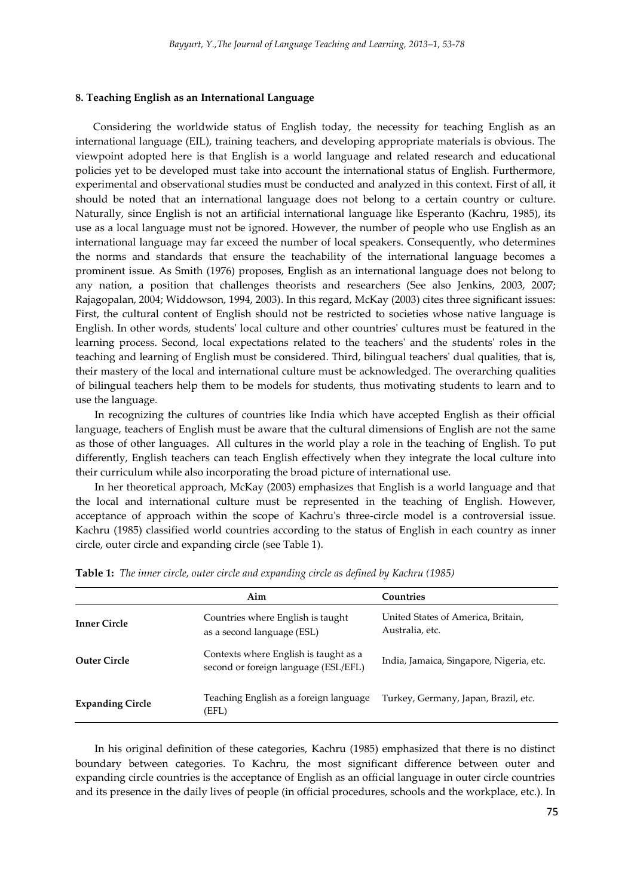#### **8. Teaching English as an International Language**

Considering the worldwide status of English today, the necessity for teaching English as an international language (EIL), training teachers, and developing appropriate materials is obvious. The viewpoint adopted here is that English is a world language and related research and educational policies yet to be developed must take into account the international status of English. Furthermore, experimental and observational studies must be conducted and analyzed in this context. First of all, it should be noted that an international language does not belong to a certain country or culture. Naturally, since English is not an artificial international language like Esperanto (Kachru, 1985), its use as a local language must not be ignored. However, the number of people who use English as an international language may far exceed the number of local speakers. Consequently, who determines the norms and standards that ensure the teachability of the international language becomes a prominent issue. As Smith (1976) proposes, English as an international language does not belong to any nation, a position that challenges theorists and researchers (See also Jenkins, 2003, 2007; Rajagopalan, 2004; Widdowson, 1994, 2003). In this regard, McKay (2003) cites three significant issues: First, the cultural content of English should not be restricted to societies whose native language is English. In other words, students' local culture and other countries' cultures must be featured in the learning process. Second, local expectations related to the teachers' and the students' roles in the teaching and learning of English must be considered. Third, bilingual teachers' dual qualities, that is, their mastery of the local and international culture must be acknowledged. The overarching qualities of bilingual teachers help them to be models for students, thus motivating students to learn and to use the language.

In recognizing the cultures of countries like India which have accepted English as their official language, teachers of English must be aware that the cultural dimensions of English are not the same as those of other languages. All cultures in the world play a role in the teaching of English. To put differently, English teachers can teach English effectively when they integrate the local culture into their curriculum while also incorporating the broad picture of international use.

In her theoretical approach, McKay (2003) emphasizes that English is a world language and that the local and international culture must be represented in the teaching of English. However, acceptance of approach within the scope of Kachru's three-circle model is a controversial issue. Kachru (1985) classified world countries according to the status of English in each country as inner circle, outer circle and expanding circle (see Table 1).

|                         | Aim                                                                           | Countries                                             |  |  |
|-------------------------|-------------------------------------------------------------------------------|-------------------------------------------------------|--|--|
| <b>Inner Circle</b>     | Countries where English is taught<br>as a second language (ESL)               | United States of America, Britain,<br>Australia, etc. |  |  |
| <b>Outer Circle</b>     | Contexts where English is taught as a<br>second or foreign language (ESL/EFL) | India, Jamaica, Singapore, Nigeria, etc.              |  |  |
| <b>Expanding Circle</b> | Teaching English as a foreign language<br>(EFL)                               | Turkey, Germany, Japan, Brazil, etc.                  |  |  |

|  |  | <b>Table 1:</b> The inner circle, outer circle and expanding circle as defined by Kachru (1985) |  |  |  |  |  |  |  |
|--|--|-------------------------------------------------------------------------------------------------|--|--|--|--|--|--|--|
|--|--|-------------------------------------------------------------------------------------------------|--|--|--|--|--|--|--|

In his original definition of these categories, Kachru (1985) emphasized that there is no distinct boundary between categories. To Kachru, the most significant difference between outer and expanding circle countries is the acceptance of English as an official language in outer circle countries and its presence in the daily lives of people (in official procedures, schools and the workplace, etc.). In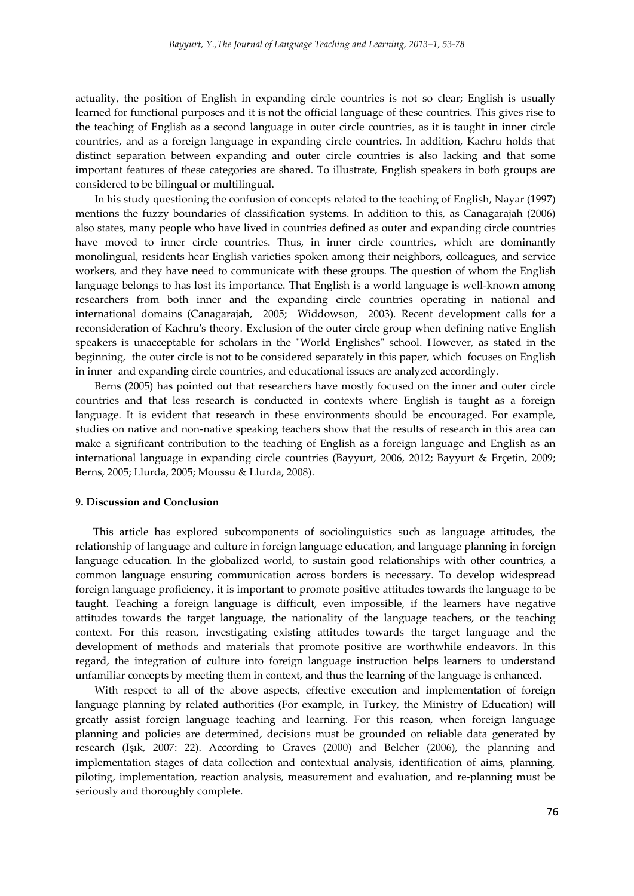actuality, the position of English in expanding circle countries is not so clear; English is usually learned for functional purposes and it is not the official language of these countries. This gives rise to the teaching of English as a second language in outer circle countries, as it is taught in inner circle countries, and as a foreign language in expanding circle countries. In addition, Kachru holds that distinct separation between expanding and outer circle countries is also lacking and that some important features of these categories are shared. To illustrate, English speakers in both groups are considered to be bilingual or multilingual.

In his study questioning the confusion of concepts related to the teaching of English, Nayar (1997) mentions the fuzzy boundaries of classification systems. In addition to this, as Canagarajah (2006) also states, many people who have lived in countries defined as outer and expanding circle countries have moved to inner circle countries. Thus, in inner circle countries, which are dominantly monolingual, residents hear English varieties spoken among their neighbors, colleagues, and service workers, and they have need to communicate with these groups. The question of whom the English language belongs to has lost its importance. That English is a world language is well-known among researchers from both inner and the expanding circle countries operating in national and international domains (Canagarajah, 2005; Widdowson, 2003). Recent development calls for a reconsideration of Kachru's theory. Exclusion of the outer circle group when defining native English speakers is unacceptable for scholars in the "World Englishes" school. However, as stated in the beginning, the outer circle is not to be considered separately in this paper, which focuses on English in inner and expanding circle countries, and educational issues are analyzed accordingly.

Berns (2005) has pointed out that researchers have mostly focused on the inner and outer circle countries and that less research is conducted in contexts where English is taught as a foreign language. It is evident that research in these environments should be encouraged. For example, studies on native and non-native speaking teachers show that the results of research in this area can make a significant contribution to the teaching of English as a foreign language and English as an international language in expanding circle countries (Bayyurt, 2006, 2012; Bayyurt & Erçetin, 2009; Berns, 2005; Llurda, 2005; Moussu & Llurda, 2008).

#### **9. Discussion and Conclusion**

This article has explored subcomponents of sociolinguistics such as language attitudes, the relationship of language and culture in foreign language education, and language planning in foreign language education. In the globalized world, to sustain good relationships with other countries, a common language ensuring communication across borders is necessary. To develop widespread foreign language proficiency, it is important to promote positive attitudes towards the language to be taught. Teaching a foreign language is difficult, even impossible, if the learners have negative attitudes towards the target language, the nationality of the language teachers, or the teaching context. For this reason, investigating existing attitudes towards the target language and the development of methods and materials that promote positive are worthwhile endeavors. In this regard, the integration of culture into foreign language instruction helps learners to understand unfamiliar concepts by meeting them in context, and thus the learning of the language is enhanced.

With respect to all of the above aspects, effective execution and implementation of foreign language planning by related authorities (For example, in Turkey, the Ministry of Education) will greatly assist foreign language teaching and learning. For this reason, when foreign language planning and policies are determined, decisions must be grounded on reliable data generated by research (Işık, 2007: 22). According to Graves (2000) and Belcher (2006), the planning and implementation stages of data collection and contextual analysis, identification of aims, planning, piloting, implementation, reaction analysis, measurement and evaluation, and re-planning must be seriously and thoroughly complete.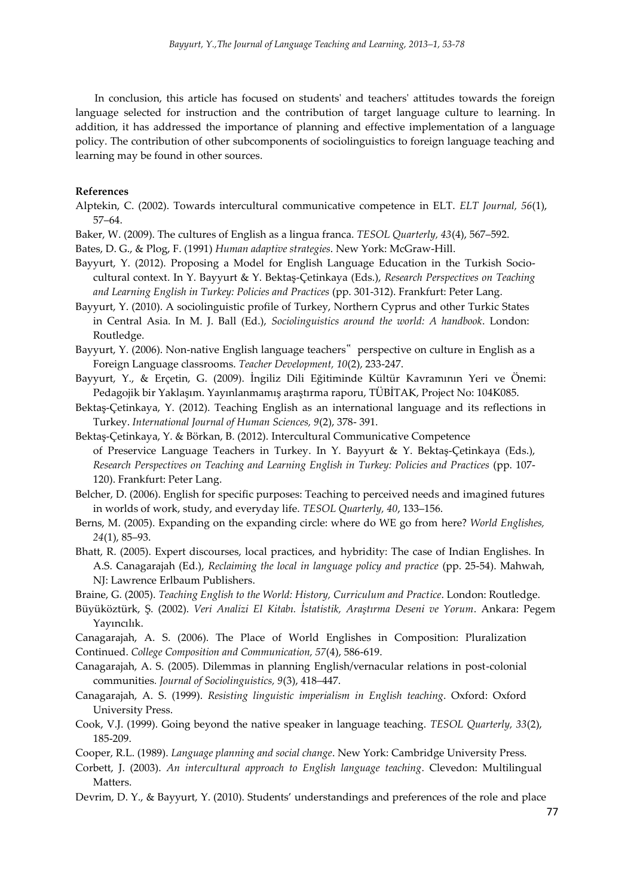In conclusion, this article has focused on students' and teachers' attitudes towards the foreign language selected for instruction and the contribution of target language culture to learning. In addition, it has addressed the importance of planning and effective implementation of a language policy. The contribution of other subcomponents of sociolinguistics to foreign language teaching and learning may be found in other sources.

## **References**

- Alptekin, C. (2002). Towards intercultural communicative competence in ELT. *ELT Journal, 56*(1), 57–64.
- Baker, W. (2009). The cultures of English as a lingua franca. *TESOL Quarterly, 43*(4), 567–592.
- Bates, D. G., & Plog, F. (1991) *Human adaptive strategies*. New York: McGraw-Hill.
- Bayyurt, Y. (2012). Proposing a Model for English Language Education in the Turkish Sociocultural context. In Y. Bayyurt & Y. Bektaş-Çetinkaya (Eds.), *Research Perspectives on Teaching and Learning English in Turkey: Policies and Practices* (pp. 301-312). Frankfurt: Peter Lang.
- Bayyurt, Y. (2010). A sociolinguistic profile of Turkey, Northern Cyprus and other Turkic States in Central Asia. In M. J. Ball (Ed.), *Sociolinguistics around the world: A handbook*. London: Routledge.
- Bayyurt, Y. (2006). Non-native English language teachers" perspective on culture in English as a Foreign Language classrooms. *Teacher Development, 10*(2), 233-247.
- Bayyurt, Y., & Erçetin, G. (2009). İngiliz Dili Eğitiminde Kültür Kavramının Yeri ve Önemi: Pedagojik bir Yaklaşım. Yayınlanmamış araştırma raporu, TÜBİTAK, Project No: 104K085.
- Bektaş-Çetinkaya, Y. (2012). Teaching English as an international language and its reflections in Turkey. *International Journal of Human Sciences, 9*(2), 378- 391.
- Bektaş-Çetinkaya, Y. & Börkan, B. (2012). Intercultural Communicative Competence of Preservice Language Teachers in Turkey. In Y. Bayyurt & Y. Bektaş-Çetinkaya (Eds.), *Research Perspectives on Teaching and Learning English in Turkey: Policies and Practices* (pp. 107- 120). Frankfurt: Peter Lang.
- Belcher, D. (2006). English for specific purposes: Teaching to perceived needs and imagined futures in worlds of work, study, and everyday life. *TESOL Quarterly, 40*, 133–156.
- Berns, M. (2005). Expanding on the expanding circle: where do WE go from here? *World Englishes, 24*(1), 85–93.
- Bhatt, R. (2005). Expert discourses, local practices, and hybridity: The case of Indian Englishes. In A.S. Canagarajah (Ed.), *Reclaiming the local in language policy and practice* (pp. 25-54). Mahwah, NJ: Lawrence Erlbaum Publishers.
- Braine, G. (2005). *Teaching English to the World: History, Curriculum and Practice*. London: Routledge.
- Büyüköztürk, Ş. (2002). *Veri Analizi El Kitabı. İstatistik, Araştırma Deseni ve Yorum*. Ankara: Pegem Yayıncılık.
- Canagarajah, A. S. (2006). The Place of World Englishes in Composition: Pluralization Continued. *College Composition and Communication, 57*(4), 586-619.
- Canagarajah, A. S. (2005). Dilemmas in planning English/vernacular relations in post-colonial communities*. Journal of Sociolinguistics, 9*(3), 418–447.
- Canagarajah, A. S. (1999). *Resisting linguistic imperialism in English teaching*. Oxford: Oxford University Press.
- Cook, V.J. (1999). Going beyond the native speaker in language teaching. *TESOL Quarterly, 33*(2), 185-209.
- Cooper, R.L. (1989). *Language planning and social change*. New York: Cambridge University Press.
- Corbett, J. (2003). *An intercultural approach to English language teaching*. Clevedon: Multilingual Matters.
- Devrim, D. Y., & Bayyurt, Y. (2010). Students' understandings and preferences of the role and place